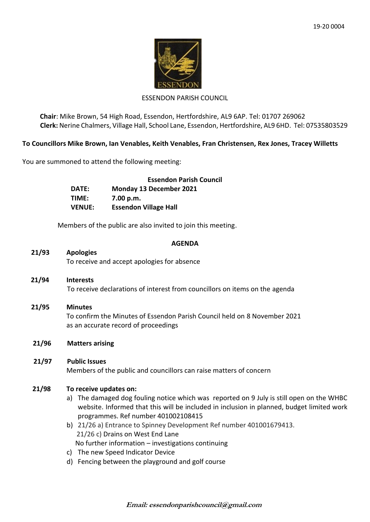

#### ESSENDON PARISH COUNCIL

**Chair**: Mike Brown, 54 High Road, Essendon, Hertfordshire, AL9 6AP. Tel: 01707 269062 **Clerk:** Nerine Chalmers, Village Hall, School Lane, Essendon, Hertfordshire, AL9 6HD. Tel: 07535803529

### **To Councillors Mike Brown, Ian Venables, Keith Venables, Fran Christensen, Rex Jones, Tracey Willetts**

You are summoned to attend the following meeting:

|               | <b>Essendon Parish Council</b> |
|---------------|--------------------------------|
| DATE:         | Monday 13 December 2021        |
| TIME:         | 7.00 p.m.                      |
| <b>VENUE:</b> | <b>Essendon Village Hall</b>   |

Members of the public are also invited to join this meeting.

#### **AGENDA**

# **21/93 Apologies**

To receive and accept apologies for absence

- **21/94 Interests** To receive declarations of interest from councillors on items on the agenda
- **21/95 Minutes** To confirm the Minutes of Essendon Parish Council held on 8 November 2021 as an accurate record of proceedings
- **21/96 Matters arising**

# **21/97 Public Issues**

Members of the public and councillors can raise matters of concern

#### **21/98 To receive updates on:**

- a) The damaged dog fouling notice which was reported on 9 July is still open on the WHBC website. Informed that this will be included in inclusion in planned, budget limited work programmes. Ref number 401002108415
- b) 21/26 a) Entrance to Spinney Development Ref number 401001679413. 21/26 c) Drains on West End Lane No further information – investigations continuing
- c) The new Speed Indicator Device
- d) Fencing between the playground and golf course